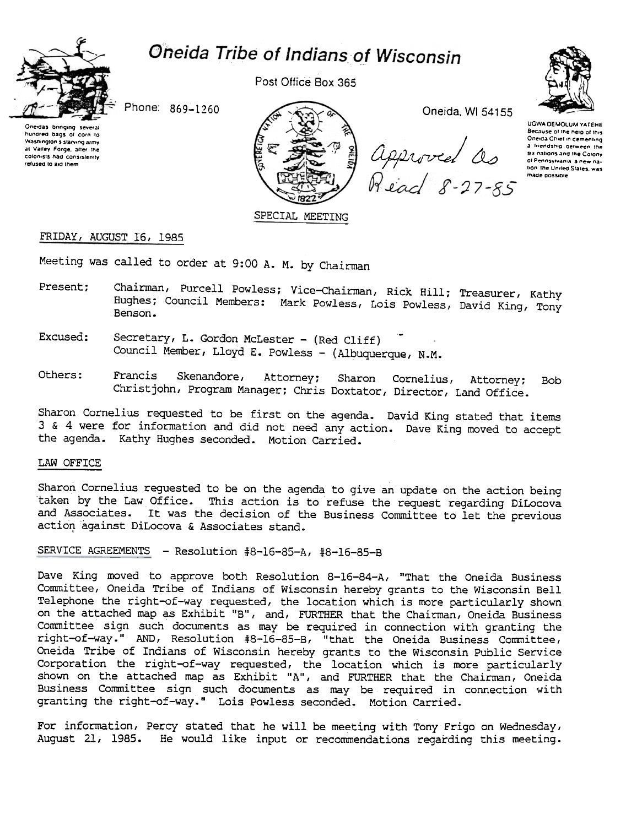# Oneida Tribe of Indians of Wisconsin



Post Office Box 365



Phone: 869-1260

Oneidas bringing several hundred bags of corn to Washington's starving army at Valley Forge, after the colonists had consistently refused to aid them



Oneida, WI 54155

approved as<br>Read 8-27-85

UGWA DEMOLUM YATEHE Because of the help of this Oneida Chief in cementing a friendship between the six nations and the Colony of Pennsylvania a new nation the United States, was made possible

# FRIDAY, AUGUST 16, 1985

Meeting was called to order at 9:00 A. M. by Chairman

- Chairman, Purcell Powless; Vice-Chairman, Rick Hill; Treasurer, Kathy Present; Hughes; Council Members: Mark Powless, Lois Powless, David King, Tony Benson.
- Excused: Secretary, L. Gordon McLester - (Red Cliff) Council Member, Lloyd E. Powless - (Albuquerque, N.M.
- Others: Francis Skenandore, Attorney; Sharon Cornelius, Attorney: **Bob** Christjohn, Program Manager; Chris Doxtator, Director, Land Office.

Sharon Cornelius requested to be first on the agenda. David King stated that items 3 & 4 were for information and did not need any action. Dave King moved to accept the agenda. Kathy Hughes seconded. Motion Carried.

### LAW OFFICE

Sharon Cornelius reguested to be on the agenda to give an update on the action being taken by the Law Office. This action is to refuse the request regarding DiLocova and Associates. It was the decision of the Business Committee to let the previous action against DiLocova & Associates stand.

SERVICE AGREEMENTS - Resolution #8-16-85-A, #8-16-85-B

Dave King moved to approve both Resolution 8-16-84-A, "That the Oneida Business Committee, Oneida Tribe of Indians of Wisconsin hereby grants to the Wisconsin Bell Telephone the right-of-way requested, the location which is more particularly shown on the attached map as Exhibit "B", and, FURTHER that the Chairman, Oneida Business Committee sign such documents as may be required in connection with granting the right-of-way." AND, Resolution #8-16-85-B, "that the Oneida Business Committee, Oneida Tribe of Indians of Wisconsin hereby grants to the Wisconsin Public Service Corporation the right-of-way requested, the location which is more particularly shown on the attached map as Exhibit "A", and FURTHER that the Chairman, Oneida Business Committee sign such documents as may be required in connection with granting the right-of-way." Lois Powless seconded. Motion Carried.

For information, Percy stated that he will be meeting with Tony Frigo on Wednesday, August 21, 1985. He would like input or recommendations regarding this meeting.